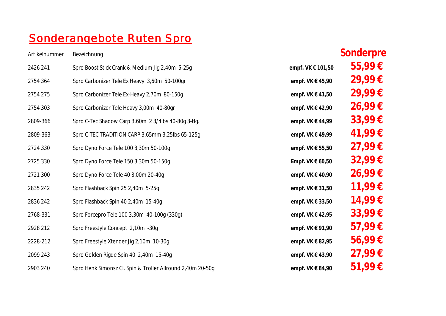## Sonderangebote Ruten Spro

| Artikelnummer | Bezeichnung                                                |                      | Sonderpre   |
|---------------|------------------------------------------------------------|----------------------|-------------|
| 2426 241      | Spro Boost Stick Crank & Medium Jig 2,40m 5-25g            | empf. VK € 101,50    | 55,99€      |
| 2754 364      | Spro Carbonizer Tele Ex Heavy 3,60m 50-100gr               | empf. VK € 45,90     | 29,99€      |
| 2754 275      | Spro Carbonizer Tele Ex-Heavy 2,70m 80-150g                | empf. VK $\in$ 41,50 | 29,99€      |
| 2754 303      | Spro Carbonizer Tele Heavy 3,00m 40-80gr                   | empf. VK € 42,90     | 26,99€      |
| 2809-366      | Spro C-Tec Shadow Carp 3,60m 2 3/4lbs 40-80g 3-tlg.        | empf. VK € 44,99     | 33,99 $\in$ |
| 2809-363      | Spro C-TEC TRADITION CARP 3,65mm 3,25lbs 65-125g           | empf. VK € 49,99     | 41,99€      |
| 2724 330      | Spro Dyno Force Tele 100 3,30m 50-100g                     | empf. VK € 55,50     | 27,99€      |
| 2725 330      | Spro Dyno Force Tele 150 3,30m 50-150g                     | Empf. VK $\in$ 60,50 | 32,99€      |
| 2721 300      | Spro Dyno Force Tele 40 3,00m 20-40q                       | empf. VK € 40,90     | 26,99€      |
| 2835 242      | Spro Flashback Spin 25 2,40m 5-25g                         | empf. VK € 31,50     | 11,99€      |
| 2836 242      | Spro Flashback Spin 40 2,40m 15-40g                        | empf. VK € 33,50     | 14,99€      |
| 2768-331      | Spro Forcepro Tele 100 3,30m 40-100g (330g)                | empf. VK € 42,95     | 33,99€      |
| 2928 212      | Spro Freestyle Concept 2,10m -30g                          | empf. $VK \in 91,90$ | 57,99€      |
| 2228-212      | Spro Freestyle Xtender Jig 2,10m 10-30g                    | empf. VK € 82,95     | 56,99€      |
| 2099 243      | Spro Golden Rigde Spin 40 2,40m 15-40g                     | empf. $VK \in 43,90$ | 27,99€      |
| 2903 240      | Spro Henk Simonsz Cl. Spin & Troller Allround 2,40m 20-50g | empf. VK € 84,90     | $51,99 \in$ |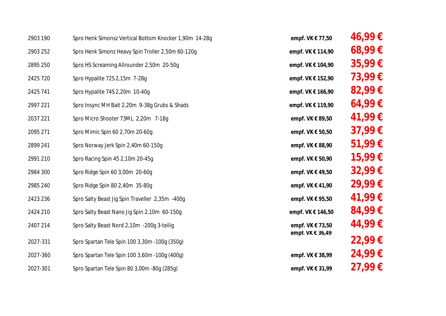| 2903 190 | Spro Henk Simonsz Vertical Bottom Knocker 1,90m 14-28g | empf. VK € 77,50  | $46,99 \in$ |
|----------|--------------------------------------------------------|-------------------|-------------|
| 2903 252 | Spro Henk Simonz Heavy Spin Troller 2,50m 60-120g      | empf. VK € 114,90 | $68,99 \in$ |
| 2895 250 | Spro HS Screaming Allrounder 2,50m 20-50g              | empf. VK € 104,90 | 35,99€      |
| 2425 720 | Spro Hypalite 72S 2,15m 7-28g                          | empf. VK € 152,90 | 73,99€      |
| 2425 741 | Spro Hypalite 74S 2,20m 10-40g                         | empf. VK € 166,90 | 82,99€      |
| 2997 221 | Spro Insync MH Bait 2,20m 9-38g Grubs & Shads          | empf. VK € 119,90 | 64,99€      |
| 2037 221 | Spro Micro Shooter 73ML 2,20m 7-18g                    | empf. VK € 89,50  | 41,99€      |
| 2095 271 | Spro Mimic Spin 60 2,70m 20-60g                        | empf. VK € 50,50  | 37,99€      |
| 2899 241 | Spro Norway Jerk Spin 2,40m 60-150g                    | empf. VK € 88,90  | 51,99€      |
| 2991 210 | Spro Racing Spin 45 2,10m 20-45g                       | empf. VK € 50,90  | 15,99€      |
| 2984 300 | Spro Ridge Spin 60 3,00m 20-60g                        | empf. VK € 49,50  | 32,99€      |
| 2985 240 | Spro Ridge Spin 80 2,40m 35-80g                        | empf. VK € 41,90  | 29,99€      |
| 2423 236 | Spro Salty Beast Jig Spin Traveller 2,35m -400g        | empf. VK € 95,50  | 41,99€      |
| 2424 210 | Spro Salty Beast Nano Jig Spin 2,10m 60-150g           | empf. VK € 146,50 | 84,99€      |
| 2407 214 | Spro Salty Beast Nord 2,10m -200g 3-teilig             | empf. VK € 73,50  | 44,99€      |
| 2027-331 | Spro Spartan Tele Spin 100 3,30m - 100g (350g)         | empt. VK € 36,49  | 22,99€      |
| 2027-360 | Spro Spartan Tele Spin 100 3,60m - 100g (400g)         | empf. VK € 38,99  | 24,99€      |
| 2027-301 | Spro Spartan Tele Spin 80 3,00m - 80g (285g)           | empf. VK € 31,99  | 27,99€      |
|          |                                                        |                   |             |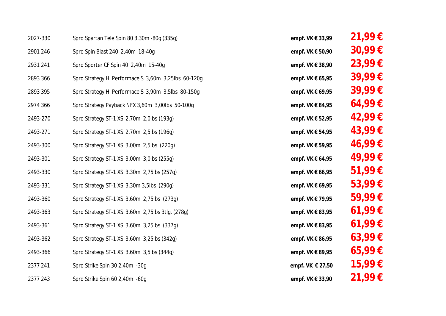| 2027-330 | Spro Spartan Tele Spin 80 3,30m -80g (335g)         | empf. VK € 33,99 | $21,99 \in$ |
|----------|-----------------------------------------------------|------------------|-------------|
| 2901 246 | Spro Spin Blast 240 2,40m 18-40g                    | empf. VK € 50,90 | $30,99 \in$ |
| 2931 241 | Spro Sporter CF Spin 40 2,40m 15-40g                | empf. VK € 38,90 | $23,99 \in$ |
| 2893 366 | Spro Strategy Hi Performace S 3,60m 3,25lbs 60-120g | empf. VK € 65,95 | 39,99€      |
| 2893 395 | Spro Strategy Hi Performace S 3,90m 3,5lbs 80-150g  | empf. VK € 69,95 | 39,99€      |
| 2974 366 | Spro Strategy Payback NFX 3,60m 3,00lbs 50-100g     | empf. VK € 84,95 | 64,99€      |
| 2493-270 | Spro Strategy ST-1 XS 2,70m 2,0lbs (193g)           | empf. VK € 52,95 | 42,99€      |
| 2493-271 | Spro Strategy ST-1 XS 2,70m 2,5lbs (196g)           | empf. VK € 54,95 | 43,99€      |
| 2493-300 | Spro Strategy ST-1 XS 3,00m 2,5lbs (220g)           | empf. VK € 59,95 | 46,99€      |
| 2493-301 | Spro Strategy ST-1 XS 3,00m 3,0lbs (255g)           | empf. VK € 64,95 | 49,99€      |
| 2493-330 | Spro Strategy ST-1 XS 3,30m 2,75lbs (257g)          | empf. VK € 66,95 | 51,99€      |
| 2493-331 | Spro Strategy ST-1 XS 3,30m 3,5lbs (290g)           | empf. VK € 69,95 | $53,99 \in$ |
| 2493-360 | Spro Strategy ST-1 XS 3,60m 2,75lbs (273g)          | empf. VK € 79,95 | 59,99€      |
| 2493-363 | Spro Strategy ST-1 XS 3,60m 2,75lbs 3tlg. (278g)    | empf. VK € 83,95 | $61,99 \in$ |
| 2493-361 | Spro Strategy ST-1 XS 3,60m 3,25lbs (337g)          | empf. VK € 83,95 | 61,99€      |
| 2493-362 | Spro Strategy ST-1 XS 3,60m 3,25lbs (342g)          | empf. VK € 86,95 | $63,99 \in$ |
| 2493-366 | Spro Strategy ST-1 XS 3,60m 3,5lbs (344g)           | empf. VK € 89,95 | $65,99 \in$ |
| 2377 241 | Spro Strike Spin 30 2,40m -30g                      | empf. VK € 27,50 | 15,99€      |
| 2377 243 | Spro Strike Spin 60 2,40m -60g                      | empf. VK € 33,90 | 21,99 €     |